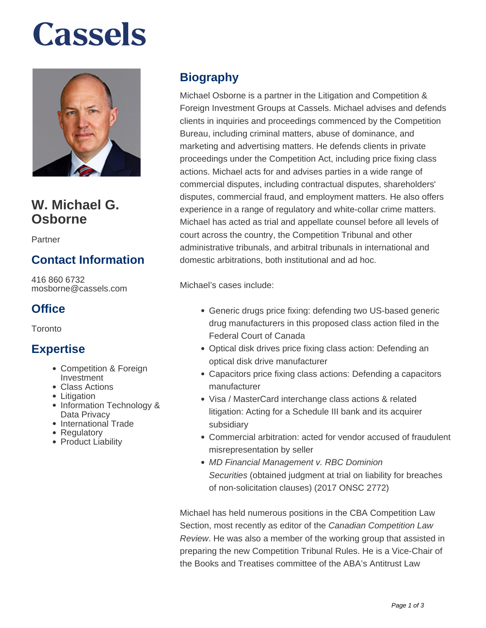# **Cassels**



## **W. Michael G. Osborne**

Partner

## **Contact Information**

416 860 6732 mosborne@cassels.com

#### **Office**

**Toronto** 

#### **Expertise**

- Competition & Foreign Investment
- Class Actions
- Litigation
- Information Technology & Data Privacy
- International Trade
- Regulatory
- Product Liability

## **Biography**

Michael Osborne is a partner in the Litigation and Competition & Foreign Investment Groups at Cassels. Michael advises and defends clients in inquiries and proceedings commenced by the Competition Bureau, including criminal matters, abuse of dominance, and marketing and advertising matters. He defends clients in private proceedings under the Competition Act, including price fixing class actions. Michael acts for and advises parties in a wide range of commercial disputes, including contractual disputes, shareholders' disputes, commercial fraud, and employment matters. He also offers experience in a range of regulatory and white-collar crime matters. Michael has acted as trial and appellate counsel before all levels of court across the country, the Competition Tribunal and other administrative tribunals, and arbitral tribunals in international and domestic arbitrations, both institutional and ad hoc.

Michael's cases include:

- Generic drugs price fixing: defending two US-based generic drug manufacturers in this proposed class action filed in the Federal Court of Canada
- Optical disk drives price fixing class action: Defending an optical disk drive manufacturer
- Capacitors price fixing class actions: Defending a capacitors manufacturer
- Visa / MasterCard interchange class actions & related litigation: Acting for a Schedule III bank and its acquirer subsidiary
- Commercial arbitration: acted for vendor accused of fraudulent misrepresentation by seller
- MD Financial Management v. RBC Dominion Securities (obtained judgment at trial on liability for breaches of non-solicitation clauses) (2017 ONSC 2772)

Michael has held numerous positions in the CBA Competition Law Section, most recently as editor of the Canadian Competition Law Review. He was also a member of the working group that assisted in preparing the new Competition Tribunal Rules. He is a Vice-Chair of the Books and Treatises committee of the ABA's Antitrust Law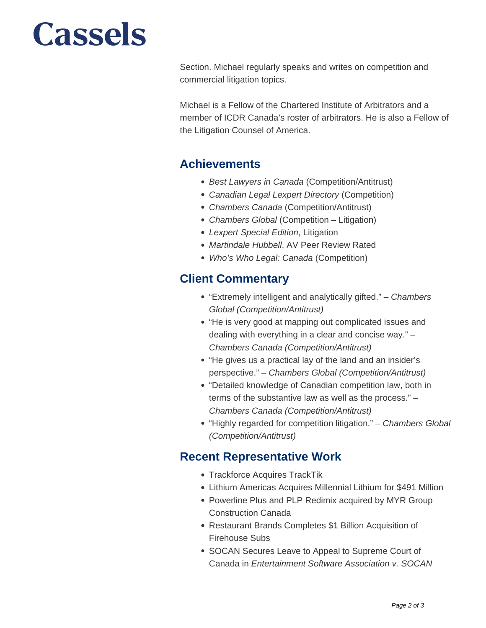## **Cassels**

Section. Michael regularly speaks and writes on competition and commercial litigation topics.

Michael is a Fellow of the Chartered Institute of Arbitrators and a member of ICDR Canada's roster of arbitrators. He is also a Fellow of the Litigation Counsel of America.

#### **Achievements**

- Best Lawyers in Canada (Competition/Antitrust)
- Canadian Legal Lexpert Directory (Competition)
- Chambers Canada (Competition/Antitrust)
- Chambers Global (Competition Litigation)
- Lexpert Special Edition, Litigation
- Martindale Hubbell, AV Peer Review Rated
- Who's Who Legal: Canada (Competition)

#### **Client Commentary**

- "Extremely intelligent and analytically gifted." Chambers Global (Competition/Antitrust)
- "He is very good at mapping out complicated issues and dealing with everything in a clear and concise way." – Chambers Canada (Competition/Antitrust)
- "He gives us a practical lay of the land and an insider's perspective." – Chambers Global (Competition/Antitrust)
- "Detailed knowledge of Canadian competition law, both in terms of the substantive law as well as the process." – Chambers Canada (Competition/Antitrust)
- "Highly regarded for competition litigation." Chambers Global (Competition/Antitrust)

#### **Recent Representative Work**

- Trackforce Acquires TrackTik
- Lithium Americas Acquires Millennial Lithium for \$491 Million
- Powerline Plus and PLP Redimix acquired by MYR Group Construction Canada
- Restaurant Brands Completes \$1 Billion Acquisition of Firehouse Subs
- SOCAN Secures Leave to Appeal to Supreme Court of Canada in Entertainment Software Association v. SOCAN